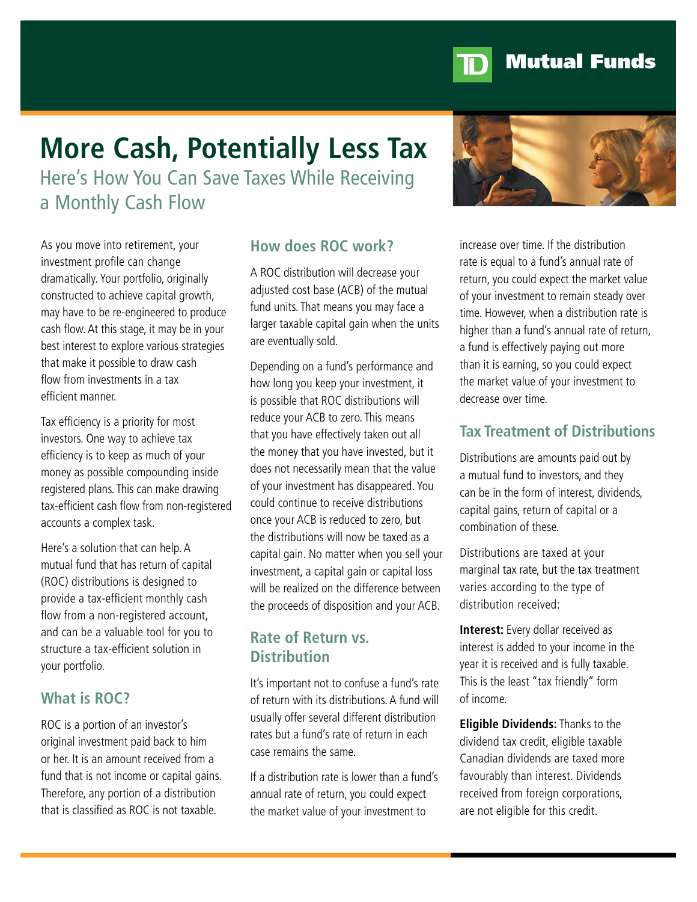

# **Mutual Funds**

# **More Cash, Potentially Less Tax**

Here's How You Can Save Taxes While Receiving a Monthly Cash Flow

As you move into retirement, your investment profile can change dramatically. Your portfolio, originally constructed to achieve capital growth, may have to be re-engineered to produce cash flow. At this stage, it may be in your best interest to explore various strategies that make it possible to draw cash flow from investments in a tax efficient manner.

Tax efficiency is a priority for most investors. One way to achieve tax efficiency is to keep as much of your money as possible compounding inside registered plans. This can make drawing tax-efficient cash flow from non-registered accounts a complex task.

Here's a solution that can help. A mutual fund that has return of capital (ROC) distributions is designed to provide a tax-efficient monthly cash flow from a non-registered account, and can be a valuable tool for you to structure a tax-efficient solution in your portfolio.

## **What is ROC?**

ROC is a portion of an investor's original investment paid back to him or her. It is an amount received from a fund that is not income or capital gains. Therefore, any portion of a distribution that is classified as ROC is not taxable.

#### **How does ROC work?**

A ROC distribution will decrease your adjusted cost base (ACB) of the mutual fund units. That means you may face a larger taxable capital gain when the units are eventually sold.

Depending on a fund's performance and how long you keep your investment, it is possible that ROC distributions will reduce your ACB to zero. This means that you have effectively taken out all the money that you have invested, but it does not necessarily mean that the value of your investment has disappeared. You could continue to receive distributions once your ACB is reduced to zero, but the distributions will now be taxed as a capital gain. No matter when you sell your investment, a capital gain or capital loss will be realized on the difference between the proceeds of disposition and your ACB.

#### **Rate of Return vs. Distribution**

It's important not to confuse a fund's rate of return with its distributions. A fund will usually offer several different distribution rates but a fund's rate of return in each case remains the same.

If a distribution rate is lower than a fund's annual rate of return, you could expect the market value of your investment to



increase over time. If the distribution rate is equal to a fund's annual rate of return, you could expect the market value of your investment to remain steady over time. However, when a distribution rate is higher than a fund's annual rate of return, a fund is effectively paying out more than it is earning, so you could expect the market value of your investment to decrease over time.

### **Tax Treatment of Distributions**

Distributions are amounts paid out by a mutual fund to investors, and they can be in the form of interest, dividends, capital gains, return of capital or a combination of these.

Distributions are taxed at your marginal tax rate, but the tax treatment varies according to the type of distribution received:

**Interest:** Every dollar received as interest is added to your income in the year it is received and is fully taxable. This is the least "tax friendly" form of income.

**Eligible Dividends:** Thanks to the dividend tax credit, eligible taxable Canadian dividends are taxed more favourably than interest. Dividends received from foreign corporations, are not eligible for this credit.